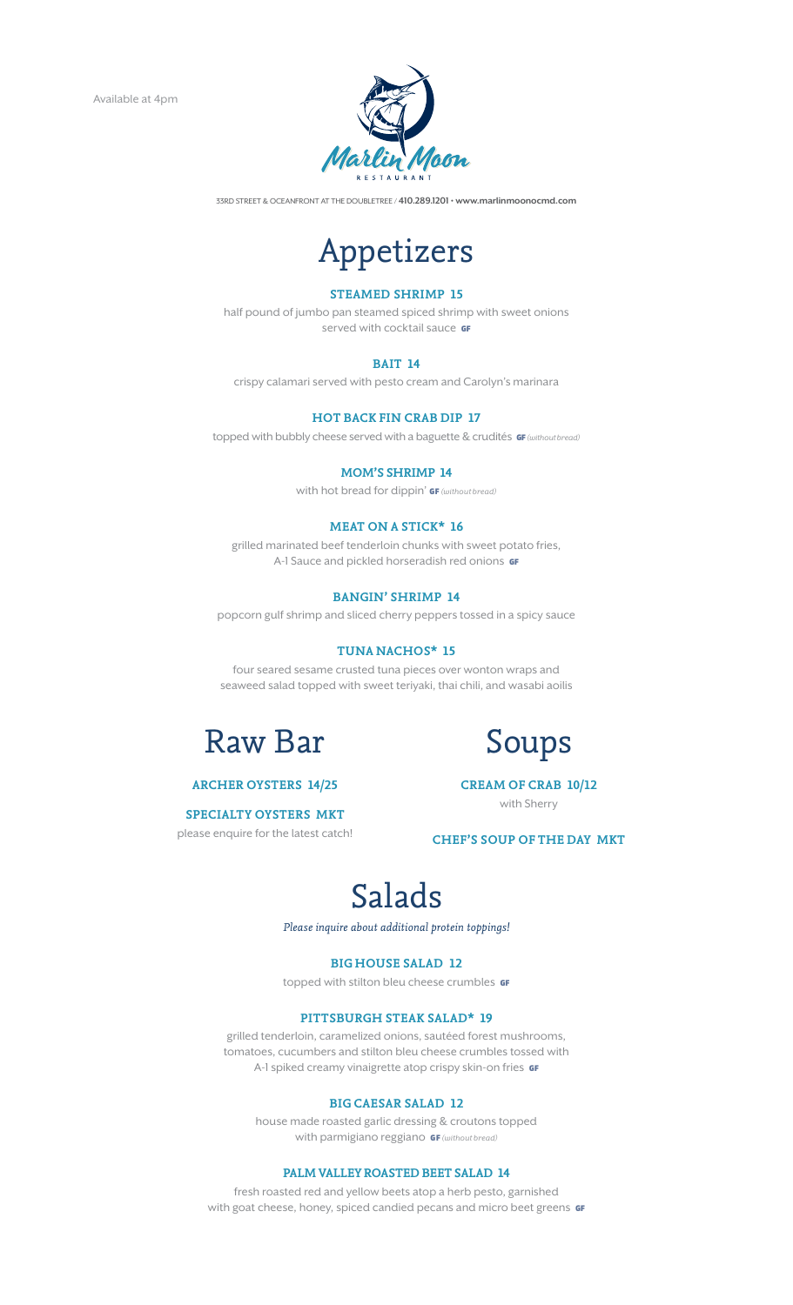

33rd Street & Oceanfront at the DoubleTree / 410.289.1201 • www.marlinmoonocmd.com



# **Steamed Shrimp 15**

half pound of jumbo pan steamed spiced shrimp with sweet onions served with cocktail sauce GF

# **Bait 14**

crispy calamari served with pesto cream and Carolyn's marinara

# **Hot Back Fin Crab Dip 17**

topped with bubbly cheese served with a baguette & crudités **GF** (without bread)

#### **Mom's Shrimp 14**

with hot bread for dippin' GF (without bread)

## **Meat on a Stick\* 16**

grilled marinated beef tenderloin chunks with sweet potato fries, A-1 Sauce and pickled horseradish red onions GF

### **Bangin' Shrimp 14**

popcorn gulf shrimp and sliced cherry peppers tossed in a spicy sauce

#### **tuna nachos\* 15**

four seared sesame crusted tuna pieces over wonton wraps and seaweed salad topped with sweet teriyaki, thai chili, and wasabi aoilis



# **Archer oysters 14/25**

# **specialty oysters MKT**

please enquire for the latest catch!



**Cream of Crab 10/12** with Sherry

**Chef's Soup of the Day MKT**

# Salads

*Please inquire about additional protein toppings!*

# **Big House Salad 12**

topped with stilton bleu cheese crumbles **GF** 

# **Pittsburgh Steak Salad\* 19**

grilled tenderloin, caramelized onions, sautéed forest mushrooms, tomatoes, cucumbers and stilton bleu cheese crumbles tossed with A-1 spiked creamy vinaigrette atop crispy skin-on fries GF

#### **Big Caesar Salad 12**

house made roasted garlic dressing & croutons topped with parmigiano reggiano **GF** (without bread)

#### **PAlm Valley Roasted Beet Salad 14**

fresh roasted red and yellow beets atop a herb pesto, garnished with goat cheese, honey, spiced candied pecans and micro beet greens **GF**